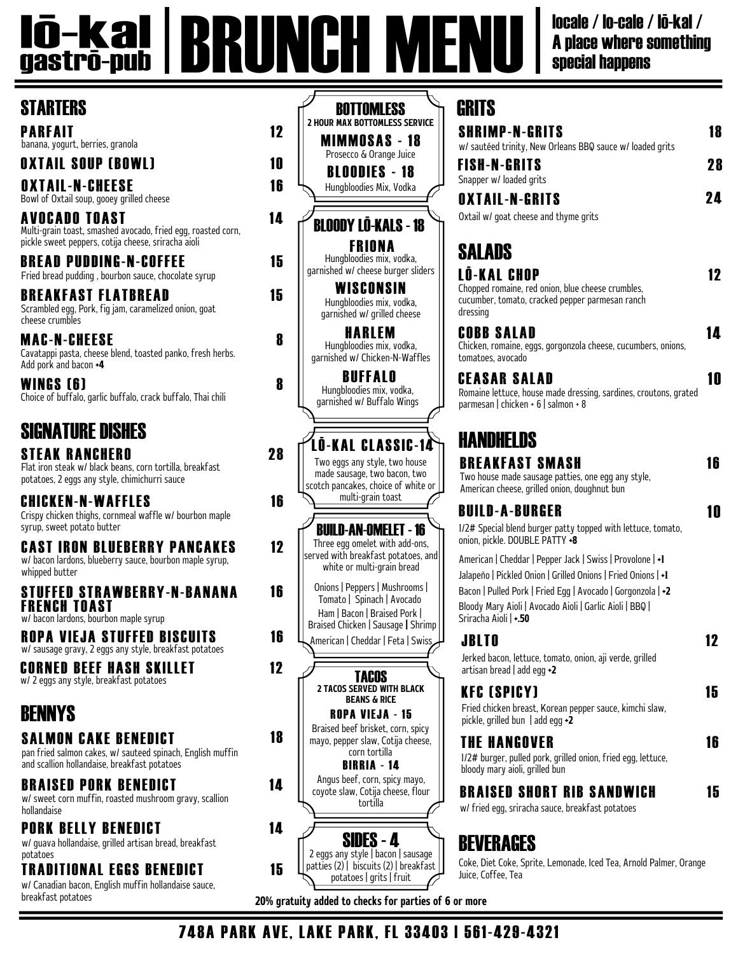#### **Iō-Kal | BRUNCH M** locale / lo-cale / lō-kal / A place where something special happens

#### **STARTERS**

PARFAIT 12 banana, yogurt, berries, granola

OXTAIL SOUP (BOWL) 10

OXTAIL-N-CHEESE 16 Bowl of Oxtail soup, gooey grilled cheese

AVOCADO TOAST 14 Multi-grain toast, smashed avocado, fried egg, roasted corn, pickle sweet peppers, cotija cheese, sriracha aioli

B R EAD PUDDING-N-COFFEE 15 Fried bread pudding , bourbon sauce, chocolate syrup

Scrambled egg, Pork, fig jam, caramelized onion, goat cheese crumbles BREAKFAST FLATBREAD 15

MAC-N-CHEESE Cavatappi pasta, cheese blend, toasted panko, fresh herbs. Add pork and bacon +4

WINGS (6) Choice of buffalo, garlic buffalo, crack buffalo, Thai chili

## SIGNATURE DISHES

**STEAK RANCHERO** Flat iron steak w/ black beans, corn tortilla, breakfast potatoes, 2 eggs any style, chimichurri sauce

CHICKEN-N-WAFFLES Crispy chicken thighs, cornmeal waffle w/ bourbon maple syrup, sweet potato butter

**CAST IRON BLUEBERRY PANCAKES** 12 w/ bacon lardons, blueberry sauce, bourbon maple syrup, whipped butter

STUFFED STRAWBERRY-N-BANANA 16 FRENCH TOAST w/ bacon lardons, bourbon maple syrup

R OPA VIEJA STUFFED BISCUITS 16 w/ sausage gravy, 2 eggs any style, breakfast potatoes

CO RNED BEEF HASH SKILLET 12 w/ 2 eggs any style, breakfast potatoes

### BENNYS

SALMON CAKE BENEDICT 18

pan fried salmon cakes, w/ sauteed spinach, English muffin and scallion hollandaise, breakfast potatoes

BRAISED PORK BENEDICT 14 w/ sweet corn muffin, roasted mushroom gravy, scallion hollandaise

PORK BELLY BENEDICT 14 w/ guava hollandaise, grilled artisan bread, breakfast

potatoes

T RADITIONAL EGGS BENEDICT 15 w/Canadian bacon, English muffin hollandaise sauce, breakfast potatoes

BLOODIES - 18 Hungbloodies Mix, Vodka MIMMOSAS - 18 Prosecco & Orange Juice **BOTTOMLESS** 2 HOUR MAX BOTTOMLESS SERVICE BLOODY LŌ-KALS - 18 WISCONSIN Hungbloodies mix, vodka, garnished w/ grilled cheese **FRIONA** Hungbloodies mix, vodka, garnished w/ cheese burger sliders HAR LEM Hungbloodies mix, vodka, garnished w/Chicken-N-Waffles

BUFFALO Hungbloodies mix, vodka, garnished w/ Buffalo Wings

LŌ-KAL CLASSIC-14 Two eggs any style, two house made sausage, two bacon, two scotch pancakes, choice of white or multi-grain toast

16

28

8

8

Three egg omelet with add-ons, served with breakfast potatoes, and white or multi-grain bread BUILD-AN-OMELET - 16

Onions | Peppers | Mushrooms | Tomato | Spinach | Avocado Ham | Bacon | Braised Pork | Braised Chicken | Sausage | Shrimp American |Cheddar | Feta | Swiss



| GRITS                                                                                                                                  |    |  |
|----------------------------------------------------------------------------------------------------------------------------------------|----|--|
| <b>SHRIMP-N-GRITS</b><br>w/ sautéed trinity, New Orleans BBQ sauce w/ loaded grits                                                     | 18 |  |
| <b>FISH-N-GRITS</b><br>Snapper w/ loaded grits                                                                                         | 28 |  |
| <b>OXTAIL-N-GRITS</b><br>Oxtail w/ goat cheese and thyme grits                                                                         | 24 |  |
| SALADS                                                                                                                                 |    |  |
| <b>LO-KAL CHOP</b><br>Chopped romaine, red onion, blue cheese crumbles,<br>cucumber, tomato, cracked pepper parmesan ranch<br>dressing | 12 |  |
| <b>COBB SALAD</b><br>Chicken romaine eggs gorgonzola cheese cucumbers onions                                                           |    |  |

Chicken, romaine, eggs, go tomatoes, avocado

CEASAR SALAD 10 Romaine lettuce, house made dressing, sardines, croutons, grated parmesan | chicken + 6 | salmon + 8

#### **HANDHELDS**

| BREAKFAST SMASH<br>Two house made sausage patties, one egg any style,<br>American cheese, grilled onion, doughnut bun                                                                                                                                                          | 16 |
|--------------------------------------------------------------------------------------------------------------------------------------------------------------------------------------------------------------------------------------------------------------------------------|----|
| BUILD-A-BURGER<br>1/2# Special blend burger patty topped with lettuce, tomato,<br>onion, pickle. DOUBLE PATTY +8                                                                                                                                                               | II |
| American   Cheddar   Pepper Jack   Swiss   Provolone   +1<br>Jalapeño   Pickled Onion   Grilled Onions   Fried Onions   +1<br>Bacon   Pulled Pork   Fried Egg   Avocado   Gorgonzola   +2<br>Bloody Mary Aioli   Avocado Aioli   Garlic Aioli   BBQ  <br>Sriracha Aioli   +.50 |    |
| <b>JBLTO</b><br>Jerked bacon, lettuce, tomato, onion, aji verde, grilled<br>artisan bread $ $ add egg $\cdot$ 2                                                                                                                                                                | 12 |
| KFC (SPICY)<br>Fried chicken breast, Korean pepper sauce, kimchi slaw,<br>pickle, grilled bun $ $ add egg $\rightarrow$ 2                                                                                                                                                      | 15 |
| THE HANGOVER<br>1/2# burger, pulled pork, grilled onion, fried egg, lettuce,<br>bloody mary aioli, grilled bun                                                                                                                                                                 | 16 |
| BRAISED SHORT RIB SANDWICH<br>wl fried ega criracha cauce hreakfast netatees                                                                                                                                                                                                   | 5  |

w/ fried egg, sriracha sauce, breakfast potatoes

### BEVERAGES

Coke, Diet Coke, Sprite, Lemonade, Iced Tea, Arnold Palmer, Orange Juice, Coffee, Tea

20% gratuity added to checks for parties of 6 or more

748A PARK AVE, LAKE PARK, FL 33403 | 561-429-4321